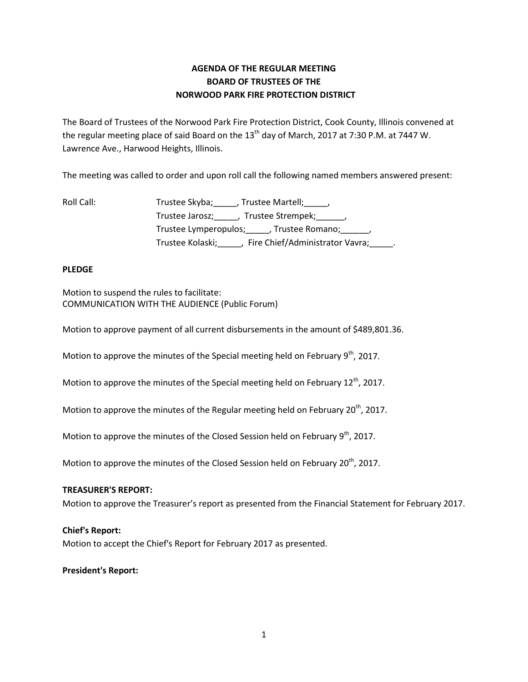# **AGENDA OF THE REGULAR MEETING BOARD OF TRUSTEES OF THE NORWOOD PARK FIRE PROTECTION DISTRICT**

The Board of Trustees of the Norwood Park Fire Protection District, Cook County, Illinois convened at the regular meeting place of said Board on the 13<sup>th</sup> day of March, 2017 at 7:30 P.M. at 7447 W. Lawrence Ave., Harwood Heights, Illinois.

The meeting was called to order and upon roll call the following named members answered present:

| Roll Call: | Trustee Skyba;<br>, Trustee Martell; , ,                    |
|------------|-------------------------------------------------------------|
|            | Trustee Jarosz; (1998)<br>Trustee Strempek; _______,        |
|            | Trustee Lymperopulos; Frustee Romano; Frustee Lymperopulos; |
|            | , Fire Chief/Administrator Vavra;<br>Trustee Kolaski;       |

# **PLEDGE**

Motion to suspend the rules to facilitate: COMMUNICATION WITH THE AUDIENCE (Public Forum)

Motion to approve payment of all current disbursements in the amount of \$489,801.36.

Motion to approve the minutes of the Special meeting held on February  $9<sup>th</sup>$ , 2017.

Motion to approve the minutes of the Special meeting held on February 12<sup>th</sup>, 2017.

Motion to approve the minutes of the Regular meeting held on February 20<sup>th</sup>, 2017.

Motion to approve the minutes of the Closed Session held on February  $9<sup>th</sup>$ , 2017.

Motion to approve the minutes of the Closed Session held on February 20<sup>th</sup>, 2017.

# **TREASURER'S REPORT:**

Motion to approve the Treasurer's report as presented from the Financial Statement for February 2017.

# **Chief's Report:**

Motion to accept the Chief's Report for February 2017 as presented.

# **President's Report:**